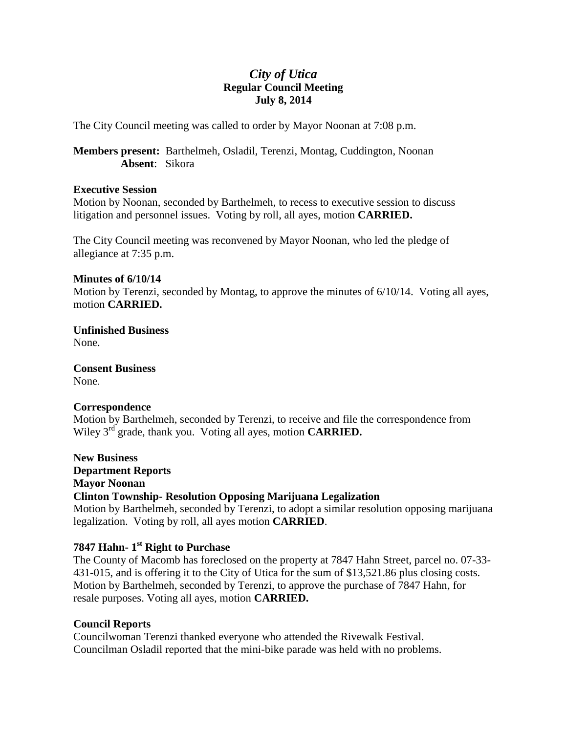## *City of Utica* **Regular Council Meeting July 8, 2014**

The City Council meeting was called to order by Mayor Noonan at 7:08 p.m.

**Members present:** Barthelmeh, Osladil, Terenzi, Montag, Cuddington, Noonan **Absent**: Sikora

#### **Executive Session**

Motion by Noonan, seconded by Barthelmeh, to recess to executive session to discuss litigation and personnel issues. Voting by roll, all ayes, motion **CARRIED.**

The City Council meeting was reconvened by Mayor Noonan, who led the pledge of allegiance at 7:35 p.m.

#### **Minutes of 6/10/14**

Motion by Terenzi, seconded by Montag, to approve the minutes of 6/10/14. Voting all ayes, motion **CARRIED.**

**Unfinished Business** None.

**Consent Business** None.

## **Correspondence**

Motion by Barthelmeh, seconded by Terenzi, to receive and file the correspondence from Wiley 3rd grade, thank you. Voting all ayes, motion **CARRIED.**

**New Business Department Reports Mayor Noonan Clinton Township- Resolution Opposing Marijuana Legalization** Motion by Barthelmeh, seconded by Terenzi, to adopt a similar resolution opposing marijuana legalization. Voting by roll, all ayes motion **CARRIED**.

## **7847 Hahn- 1 st Right to Purchase**

The County of Macomb has foreclosed on the property at 7847 Hahn Street, parcel no. 07-33- 431-015, and is offering it to the City of Utica for the sum of \$13,521.86 plus closing costs. Motion by Barthelmeh, seconded by Terenzi, to approve the purchase of 7847 Hahn, for resale purposes. Voting all ayes, motion **CARRIED.**

## **Council Reports**

Councilwoman Terenzi thanked everyone who attended the Rivewalk Festival. Councilman Osladil reported that the mini-bike parade was held with no problems.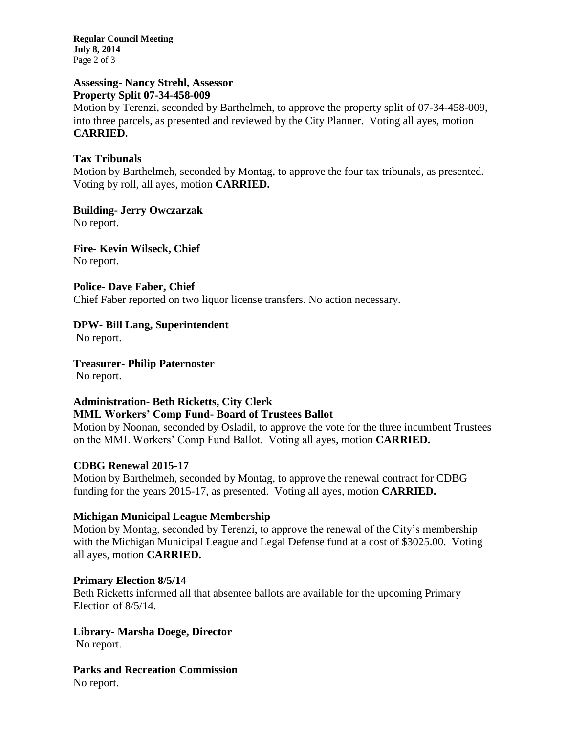**Regular Council Meeting July 8, 2014** Page 2 of 3

#### **Assessing- Nancy Strehl, Assessor Property Split 07-34-458-009**

Motion by Terenzi, seconded by Barthelmeh, to approve the property split of 07-34-458-009, into three parcels, as presented and reviewed by the City Planner. Voting all ayes, motion **CARRIED.**

## **Tax Tribunals**

Motion by Barthelmeh, seconded by Montag, to approve the four tax tribunals, as presented. Voting by roll, all ayes, motion **CARRIED.**

**Building- Jerry Owczarzak** No report.

**Fire- Kevin Wilseck, Chief** No report.

**Police- Dave Faber, Chief** Chief Faber reported on two liquor license transfers. No action necessary.

## **DPW- Bill Lang, Superintendent**

No report.

**Treasurer- Philip Paternoster** No report.

## **Administration- Beth Ricketts, City Clerk MML Workers' Comp Fund- Board of Trustees Ballot**

Motion by Noonan, seconded by Osladil, to approve the vote for the three incumbent Trustees on the MML Workers' Comp Fund Ballot. Voting all ayes, motion **CARRIED.**

## **CDBG Renewal 2015-17**

Motion by Barthelmeh, seconded by Montag, to approve the renewal contract for CDBG funding for the years 2015-17, as presented. Voting all ayes, motion **CARRIED.**

## **Michigan Municipal League Membership**

Motion by Montag, seconded by Terenzi, to approve the renewal of the City's membership with the Michigan Municipal League and Legal Defense fund at a cost of \$3025.00. Voting all ayes, motion **CARRIED.**

## **Primary Election 8/5/14**

Beth Ricketts informed all that absentee ballots are available for the upcoming Primary Election of 8/5/14.

# **Library- Marsha Doege, Director**

No report.

**Parks and Recreation Commission** No report.